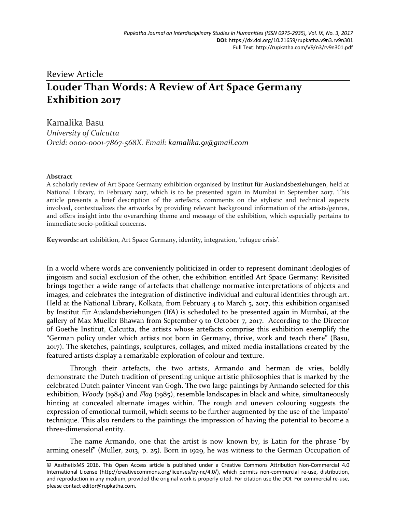## Review Article **Louder Than Words: A Review of Art Space Germany Exhibition 2017**

Kamalika Basu *University of Calcutta Orcid: 0000-0001-7867-568X. Email: kamalika.91@gmail.com*

## **Abstract**

A scholarly review of Art Space Germany exhibition organised by Institut für Auslandsbeziehungen, held at National Library, in February 2017, which is to be presented again in Mumbai in September 2017. This article presents a brief description of the artefacts, comments on the stylistic and technical aspects involved, contextualizes the artworks by providing relevant background information of the artists/genres, and offers insight into the overarching theme and message of the exhibition, which especially pertains to immediate socio-political concerns.

**Keywords:** art exhibition, Art Space Germany, identity, integration, 'refugee crisis'.

In a world where words are conveniently politicized in order to represent dominant ideologies of jingoism and social exclusion of the other, the exhibition entitled Art Space Germany: Revisited brings together a wide range of artefacts that challenge normative interpretations of objects and images, and celebrates the integration of distinctive individual and cultural identities through art. Held at the National Library, Kolkata, from February 4 to March 5, 2017, this exhibition organised by Institut für Auslandsbeziehungen (IfA) is scheduled to be presented again in Mumbai, at the gallery of Max Mueller Bhawan from September 9 to October 7, 2017. According to the Director of Goethe Institut, Calcutta, the artists whose artefacts comprise this exhibition exemplify the "German policy under which artists not born in Germany, thrive, work and teach there" (Basu, 2017). The sketches, paintings, sculptures, collages, and mixed media installations created by the featured artists display a remarkable exploration of colour and texture.

Through their artefacts, the two artists, Armando and herman de vries, boldly demonstrate the Dutch tradition of presenting unique artistic philosophies that is marked by the celebrated Dutch painter Vincent van Gogh. The two large paintings by Armando selected for this exhibition, *Woody* (1984) and *Flag* (1985), resemble landscapes in black and white, simultaneously hinting at concealed alternate images within. The rough and uneven colouring suggests the expression of emotional turmoil, which seems to be further augmented by the use of the 'impasto' technique. This also renders to the paintings the impression of having the potential to become a three-dimensional entity.

The name Armando, one that the artist is now known by, is Latin for the phrase "by arming oneself" (Muller, 2013, p. 25). Born in 1929, he was witness to the German Occupation of

<sup>©</sup> AesthetixMS 2016. This Open Access article is published under a Creative Commons Attribution Non-Commercial 4.0 International License (http://creativecommons.org/licenses/by-nc/4.0/), which permits non-commercial re-use, distribution, and reproduction in any medium, provided the original work is properly cited. For citation use the DOI. For commercial re-use, please contact editor@rupkatha.com.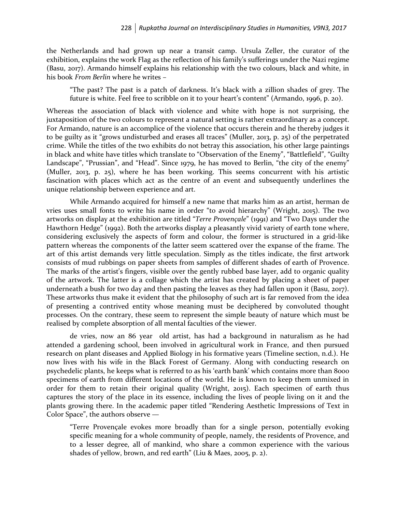the Netherlands and had grown up near a transit camp. Ursula Zeller, the curator of the exhibition, explains the work Flag as the reflection of his family's sufferings under the Nazi regime (Basu, 2017). Armando himself explains his relationship with the two colours, black and white, in his book *From Berlin* where he writes –

"The past? The past is a patch of darkness. It's black with a zillion shades of grey. The future is white. Feel free to scribble on it to your heart's content" (Armando, 1996, p. 20).

Whereas the association of black with violence and white with hope is not surprising, the juxtaposition of the two colours to represent a natural setting is rather extraordinary as a concept. For Armando, nature is an accomplice of the violence that occurs therein and he thereby judges it to be guilty as it "grows undisturbed and erases all traces" (Muller, 2013, p. 25) of the perpetrated crime. While the titles of the two exhibits do not betray this association, his other large paintings in black and white have titles which translate to "Observation of the Enemy", "Battlefield", "Guilty Landscape", "Prussian", and "Head". Since 1979, he has moved to Berlin, "the city of the enemy" (Muller, 2013, p. 25), where he has been working. This seems concurrent with his artistic fascination with places which act as the centre of an event and subsequently underlines the unique relationship between experience and art.

While Armando acquired for himself a new name that marks him as an artist, herman de vries uses small fonts to write his name in order "to avoid hierarchy" (Wright, 2015). The two artworks on display at the exhibition are titled "*Terre Provençale*" (1991) and "Two Days under the Hawthorn Hedge" (1992). Both the artworks display a pleasantly vivid variety of earth tone where, considering exclusively the aspects of form and colour, the former is structured in a grid-like pattern whereas the components of the latter seem scattered over the expanse of the frame. The art of this artist demands very little speculation. Simply as the titles indicate, the first artwork consists of mud rubbings on paper sheets from samples of different shades of earth of Provence. The marks of the artist's fingers, visible over the gently rubbed base layer, add to organic quality of the artwork. The latter is a collage which the artist has created by placing a sheet of paper underneath a bush for two day and then pasting the leaves as they had fallen upon it (Basu, 2017). These artworks thus make it evident that the philosophy of such art is far removed from the idea of presenting a contrived entity whose meaning must be deciphered by convoluted thought processes. On the contrary, these seem to represent the simple beauty of nature which must be realised by complete absorption of all mental faculties of the viewer.

de vries, now an 86 year old artist, has had a background in naturalism as he had attended a gardening school, been involved in agricultural work in France, and then pursued research on plant diseases and Applied Biology in his formative years (Timeline section, n.d.). He now lives with his wife in the Black Forest of Germany. Along with conducting research on psychedelic plants, he keeps what is referred to as his 'earth bank' which contains more than 8000 specimens of earth from different locations of the world. He is known to keep them unmixed in order for them to retain their original quality (Wright, 2015). Each specimen of earth thus captures the story of the place in its essence, including the lives of people living on it and the plants growing there. In the academic paper titled "Rendering Aesthetic Impressions of Text in Color Space", the authors observe —

"Terre Provençale evokes more broadly than for a single person, potentially evoking specific meaning for a whole community of people, namely, the residents of Provence, and to a lesser degree, all of mankind, who share a common experience with the various shades of yellow, brown, and red earth" (Liu & Maes, 2005, p. 2).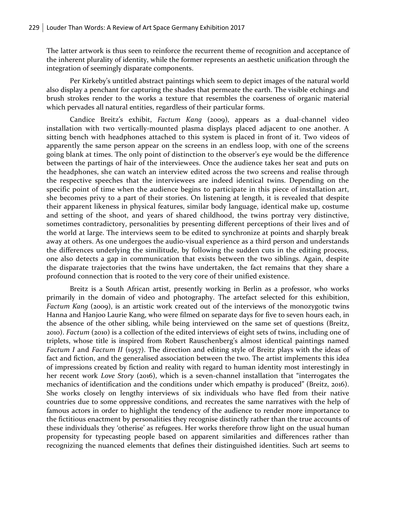The latter artwork is thus seen to reinforce the recurrent theme of recognition and acceptance of the inherent plurality of identity, while the former represents an aesthetic unification through the integration of seemingly disparate components.

Per Kirkeby's untitled abstract paintings which seem to depict images of the natural world also display a penchant for capturing the shades that permeate the earth. The visible etchings and brush strokes render to the works a texture that resembles the coarseness of organic material which pervades all natural entities, regardless of their particular forms.

Candice Breitz's exhibit, *Factum Kang* (2009), appears as a dual-channel video installation with two vertically-mounted plasma displays placed adjacent to one another. A sitting bench with headphones attached to this system is placed in front of it. Two videos of apparently the same person appear on the screens in an endless loop, with one of the screens going blank at times. The only point of distinction to the observer's eye would be the difference between the partings of hair of the interviewees. Once the audience takes her seat and puts on the headphones, she can watch an interview edited across the two screens and realise through the respective speeches that the interviewees are indeed identical twins. Depending on the specific point of time when the audience begins to participate in this piece of installation art, she becomes privy to a part of their stories. On listening at length, it is revealed that despite their apparent likeness in physical features, similar body language, identical make up, costume and setting of the shoot, and years of shared childhood, the twins portray very distinctive, sometimes contradictory, personalities by presenting different perceptions of their lives and of the world at large. The interviews seem to be edited to synchronize at points and sharply break away at others. As one undergoes the audio-visual experience as a third person and understands the differences underlying the similitude, by following the sudden cuts in the editing process, one also detects a gap in communication that exists between the two siblings. Again, despite the disparate trajectories that the twins have undertaken, the fact remains that they share a profound connection that is rooted to the very core of their unified existence.

Breitz is a South African artist, presently working in Berlin as a professor, who works primarily in the domain of video and photography. The artefact selected for this exhibition, Factum Kang (2009), is an artistic work created out of the interviews of the monozygotic twins Hanna and Hanjoo Laurie Kang, who were filmed on separate days for five to seven hours each, in the absence of the other sibling, while being interviewed on the same set of questions (Breitz, 2010). *Factum* (2010) is a collection of the edited interviews of eight sets of twins, including one of triplets, whose title is inspired from Robert Rauschenberg's almost identical paintings named *Factum I* and *Factum II* (1957). The direction and editing style of Breitz plays with the ideas of fact and fiction, and the generalised association between the two. The artist implements this idea of impressions created by fiction and reality with regard to human identity most interestingly in her recent work *Love Story* (2016), which is a seven-channel installation that "interrogates the mechanics of identification and the conditions under which empathy is produced" (Breitz, 2016). She works closely on lengthy interviews of six individuals who have fled from their native countries due to some oppressive conditions, and recreates the same narratives with the help of famous actors in order to highlight the tendency of the audience to render more importance to the fictitious enactment by personalities they recognise distinctly rather than the true accounts of these individuals they 'otherise' as refugees. Her works therefore throw light on the usual human propensity for typecasting people based on apparent similarities and differences rather than recognizing the nuanced elements that defines their distinguished identities. Such art seems to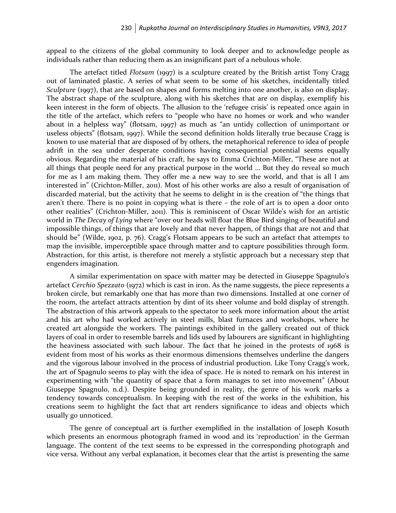appeal to the citizens of the global community to look deeper and to acknowledge people as individuals rather than reducing them as an insignificant part of a nebulous whole.

The artefact titled *Flotsam* (1997) is a sculpture created by the British artist Tony Cragg out of laminated plastic. A series of what seem to be some of his sketches, incidentally titled *Sculpture* (1997), that are based on shapes and forms melting into one another, is also on display. The abstract shape of the sculpture, along with his sketches that are on display, exemplify his keen interest in the form of objects. The allusion to the 'refugee crisis' is repeated once again in the title of the artefact, which refers to "people who have no homes or work and who wander about in a helpless way" (flotsam, 1997) as much as "an untidy collection of unimportant or useless objects" (flotsam, 1997). While the second definition holds literally true because Cragg is known to use material that are disposed of by others, the metaphorical reference to idea of people adrift in the sea under desperate conditions having consequential potential seems equally obvious. Regarding the material of his craft, he says to Emma Crichton-Miller, "These are not at all things that people need for any practical purpose in the world ... But they do reveal so much for me as I am making them. They offer me a new way to see the world, and that is all I am interested in" (Crichton-Miller, 2011). Most of his other works are also a result of organisation of discarded material, but the activity that he seems to delight in is the creation of "the things that aren't there. There is no point in copying what is there – the role of art is to open a door onto other realities" (Crichton-Miller, 2011). This is reminiscent of Oscar Wilde's wish for an artistic world in *The Decay of Lying* where "over our heads will float the Blue Bird singing of beautiful and impossible things, of things that are lovely and that never happen, of things that are not and that should be" (Wilde, 1902, p. 76). Cragg's Flotsam appears to be such an artefact that attempts to map the invisible, imperceptible space through matter and to capture possibilities through form. Abstraction, for this artist, is therefore not merely a stylistic approach but a necessary step that engenders imagination.

A similar experimentation on space with matter may be detected in Giuseppe Spagnulo's artefact *Cerchio Spezzato* (1972) which is cast in iron. As the name suggests, the piece represents a broken circle, but remarkably one that has more than two dimensions. Installed at one corner of the room, the artefact attracts attention by dint of its sheer volume and bold display of strength. The abstraction of this artwork appeals to the spectator to seek more information about the artist and his art who had worked actively in steel mills, blast furnaces and workshops, where he created art alongside the workers. The paintings exhibited in the gallery created out of thick layers of coal in order to resemble barrels and lids used by labourers are significant in highlighting the heaviness associated with such labour. The fact that he joined in the protests of 1968 is evident from most of his works as their enormous dimensions themselves underline the dangers and the vigorous labour involved in the process of industrial production. Like Tony Cragg's work, the art of Spagnulo seems to play with the idea of space. He is noted to remark on his interest in experimenting with "the quantity of space that a form manages to set into movement" (About Giuseppe Spagnulo, n.d.). Despite being grounded in reality, the genre of his work marks a tendency towards conceptualism. In keeping with the rest of the works in the exhibition, his creations seem to highlight the fact that art renders significance to ideas and objects which usually go unnoticed.

The genre of conceptual art is further exemplified in the installation of Joseph Kosuth which presents an enormous photograph framed in wood and its 'reproduction' in the German language. The content of the text seems to be expressed in the corresponding photograph and vice versa. Without any verbal explanation, it becomes clear that the artist is presenting the same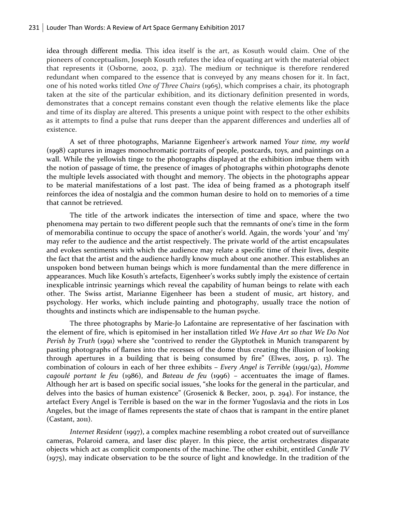idea through different media. This idea itself is the art, as Kosuth would claim. One of the pioneers of conceptualism, Joseph Kosuth refutes the idea of equating art with the material object that represents it (Osborne, 2002, p. 232). The medium or technique is therefore rendered redundant when compared to the essence that is conveyed by any means chosen for it. In fact, one of his noted works titled *One of Three Chairs* (1965), which comprises a chair, its photograph taken at the site of the particular exhibition, and its dictionary definition presented in words, demonstrates that a concept remains constant even though the relative elements like the place and time of its display are altered. This presents a unique point with respect to the other exhibits as it attempts to find a pulse that runs deeper than the apparent differences and underlies all of existence.

A set of three photographs, Marianne Eigenheer's artwork named *Your time, my world* (1998) captures in images monochromatic portraits of people, postcards, toys, and paintings on a wall. While the yellowish tinge to the photographs displayed at the exhibition imbue them with the notion of passage of time, the presence of images of photographs within photographs denote the multiple levels associated with thought and memory. The objects in the photographs appear to be material manifestations of a lost past. The idea of being framed as a photograph itself reinforces the idea of nostalgia and the common human desire to hold on to memories of a time that cannot be retrieved.

The title of the artwork indicates the intersection of time and space, where the two phenomena may pertain to two different people such that the remnants of one's time in the form of memorabilia continue to occupy the space of another's world. Again, the words 'your' and 'my' may refer to the audience and the artist respectively. The private world of the artist encapsulates and evokes sentiments with which the audience may relate a specific time of their lives, despite the fact that the artist and the audience hardly know much about one another. This establishes an unspoken bond between human beings which is more fundamental than the mere difference in appearances. Much like Kosuth's artefacts, Eigenheer's works subtly imply the existence of certain inexplicable intrinsic yearnings which reveal the capability of human beings to relate with each other. The Swiss artist, Marianne Eigenheer has been a student of music, art history, and psychology. Her works, which include painting and photography, usually trace the notion of thoughts and instincts which are indispensable to the human psyche.

The three photographs by Marie-Jo Lafontaine are representative of her fascination with the element of fire, which is epitomised in her installation titled *We Have Art so that We Do Not Perish by Truth* (1991) where she "contrived to render the Glyptothek in Munich transparent by pasting photographs of flames into the recesses of the dome thus creating the illusion of looking through apertures in a building that is being consumed by fire" (Elwes, 2015, p. 13). The combination of colours in each of her three exhibits – *Every Angel is Terrible* (1991/92), *Homme cagoulé portant le feu* (1986), and *Bateau de feu* (1996) – accentuates the image of flames. Although her art is based on specific social issues, "she looks for the general in the particular, and delves into the basics of human existence" (Grosenick & Becker, 2001, p. 294). For instance, the artefact Every Angel is Terrible is based on the war in the former Yugoslavia and the riots in Los Angeles, but the image of flames represents the state of chaos that is rampant in the entire planet  $(Castant, 201)$ .

*Internet Resident* (1997), a complex machine resembling a robot created out of surveillance cameras, Polaroid camera, and laser disc player. In this piece, the artist orchestrates disparate objects which act as complicit components of the machine. The other exhibit, entitled *Candle TV* (1975), may indicate observation to be the source of light and knowledge. In the tradition of the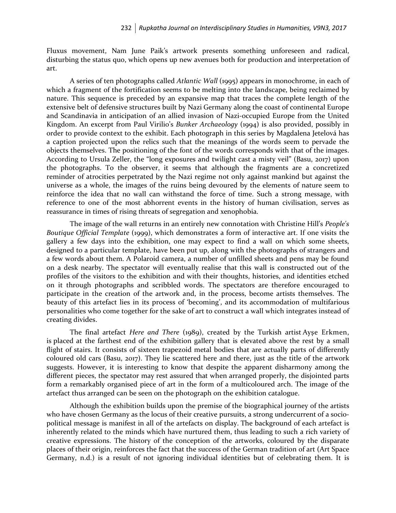Fluxus movement, Nam June Paik's artwork presents something unforeseen and radical, disturbing the status quo, which opens up new avenues both for production and interpretation of art.

A series of ten photographs called *Atlantic Wall* (1995) appears in monochrome, in each of which a fragment of the fortification seems to be melting into the landscape, being reclaimed by nature. This sequence is preceded by an expansive map that traces the complete length of the extensive belt of defensive structures built by Nazi Germany along the coast of continental Europe and Scandinavia in anticipation of an allied invasion of Nazi-occupied Europe from the United Kingdom. An excerpt from Paul Virilio's *Bunker Archaeology* (1994) is also provided, possibly in order to provide context to the exhibit. Each photograph in this series by Magdalena Jetelová has a caption projected upon the relics such that the meanings of the words seem to pervade the objects themselves. The positioning of the font of the words corresponds with that of the images. According to Ursula Zeller, the "long exposures and twilight cast a misty veil" (Basu, 2017) upon the photographs. To the observer, it seems that although the fragments are a concretized reminder of atrocities perpetrated by the Nazi regime not only against mankind but against the universe as a whole, the images of the ruins being devoured by the elements of nature seem to reinforce the idea that no wall can withstand the force of time. Such a strong message, with reference to one of the most abhorrent events in the history of human civilisation, serves as reassurance in times of rising threats of segregation and xenophobia.

The image of the wall returns in an entirely new connotation with Christine Hill's *People's Boutique Official Template* (1999), which demonstrates a form of interactive art. If one visits the gallery a few days into the exhibition, one may expect to find a wall on which some sheets, designed to a particular template, have been put up, along with the photographs of strangers and a few words about them. A Polaroid camera, a number of unfilled sheets and pens may be found on a desk nearby. The spectator will eventually realise that this wall is constructed out of the profiles of the visitors to the exhibition and with their thoughts, histories, and identities etched on it through photographs and scribbled words. The spectators are therefore encouraged to participate in the creation of the artwork and, in the process, become artists themselves. The beauty of this artefact lies in its process of 'becoming', and its accommodation of multifarious personalities who come together for the sake of art to construct a wall which integrates instead of creating divides.

The final artefact *Here and There* (1989), created by the Turkish artist Ayşe Erkmen, is placed at the farthest end of the exhibition gallery that is elevated above the rest by a small flight of stairs. It consists of sixteen trapezoid metal bodies that are actually parts of differently coloured old cars (Basu, 2017). They lie scattered here and there, just as the title of the artwork suggests. However, it is interesting to know that despite the apparent disharmony among the different pieces, the spectator may rest assured that when arranged properly, the disjointed parts form a remarkably organised piece of art in the form of a multicoloured arch. The image of the artefact thus arranged can be seen on the photograph on the exhibition catalogue.

Although the exhibition builds upon the premise of the biographical journey of the artists who have chosen Germany as the locus of their creative pursuits, a strong undercurrent of a sociopolitical message is manifest in all of the artefacts on display. The background of each artefact is inherently related to the minds which have nurtured them, thus leading to such a rich variety of creative expressions. The history of the conception of the artworks, coloured by the disparate places of their origin, reinforces the fact that the success of the German tradition of art (Art Space Germany, n.d.) is a result of not ignoring individual identities but of celebrating them. It is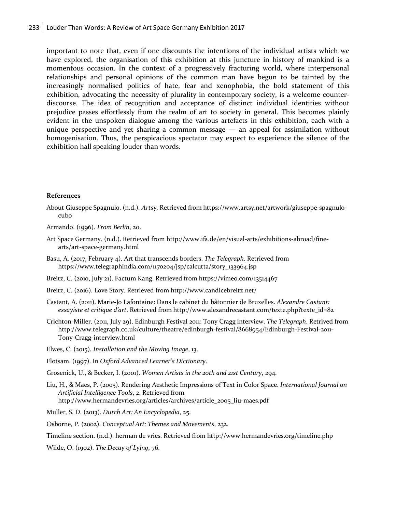important to note that, even if one discounts the intentions of the individual artists which we have explored, the organisation of this exhibition at this juncture in history of mankind is a momentous occasion. In the context of a progressively fracturing world, where interpersonal relationships and personal opinions of the common man have begun to be tainted by the increasingly normalised politics of hate, fear and xenophobia, the bold statement of this exhibition, advocating the necessity of plurality in contemporary society, is a welcome counterdiscourse. The idea of recognition and acceptance of distinct individual identities without prejudice passes effortlessly from the realm of art to society in general. This becomes plainly evident in the unspoken dialogue among the various artefacts in this exhibition, each with a unique perspective and yet sharing a common message — an appeal for assimilation without homogenisation. Thus, the perspicacious spectator may expect to experience the silence of the exhibition hall speaking louder than words.

## **References**

- About Giuseppe Spagnulo. (n.d.). *Artsy*. Retrieved from https://www.artsy.net/artwork/giuseppe-spagnulocubo
- Armando. (1996). *From Berlin*, 20.
- Art Space Germany. (n.d.). Retrieved from http://www.ifa.de/en/visual-arts/exhibitions-abroad/finearts/art-space-germany.html
- Basu, A. (2017, February 4). Art that transcends borders. *The Telegraph*. Retrieved from https://www.telegraphindia.com/1170204/jsp/calcutta/story\_133964.jsp
- Breitz, C. (2010, July 21). Factum Kang. Retrieved from https://vimeo.com/13514467
- Breitz, C. (2016). Love Story. Retrieved from http://www.candicebreitz.net/
- Castant, A. (2011). Marie-Jo Lafontaine: Dans le cabinet du bâtonnier de Bruxelles. *Alexandre Castant: essayiste et critique d'art*. Retrieved from http://www.alexandrecastant.com/texte.php?texte\_id=82
- Crichton-Miller. (2011, July 29). Edinburgh Festival 2011: Tony Cragg interview. *The Telegraph*. Retrived from http://www.telegraph.co.uk/culture/theatre/edinburgh-festival/8668954/Edinburgh-Festival-2011- Tony-Cragg-interview.html
- Elwes, C. (2015). *Installation and the Moving Image*, 13.
- Flotsam. (1997). In *Oxford Advanced Learner's Dictionary*.
- Grosenick, U., & Becker, I. (2001). *Women Artists in the 20th and 21st Century*, 294.
- Liu, H., & Maes, P. (2005). Rendering Aesthetic Impressions of Text in Color Space. *International Journal on Artificial Intelligence Tools*, 2. Retrieved from http://www.hermandevries.org/articles/archives/article\_2005\_liu-maes.pdf
- Muller, S. D. (2013). *Dutch Art: An Encyclopedia*, 25.
- Osborne, P. (2002). *Conceptual Art: Themes and Movements*, 232.
- Timeline section. (n.d.). herman de vries. Retrieved from http://www.hermandevries.org/timeline.php
- Wilde, O. (1902). *The Decay of Lying*, 76.